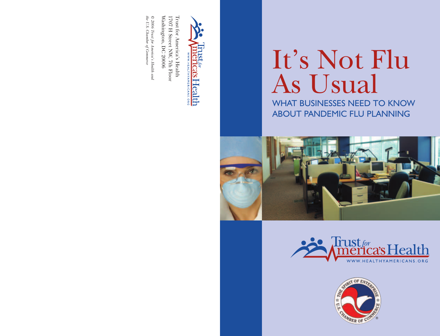# It's Not Flu As Usual

WHAT BUSINESSES NEED TO KNOW ABOUT PANDEMIC FLU PLANNING









Washington, DC 20006 1707 H Street NW, 7th Floor Trust for America's Health Washington, DC 20006 1707 H Street NW, 7th Floor Trust for America's Health

 $\circledcirc$  2006 Trust for America's Health and<br>the U.S. Chamber of Commerce *the U.S. Chamber of Commerce © 2006 Trust for America's Health and*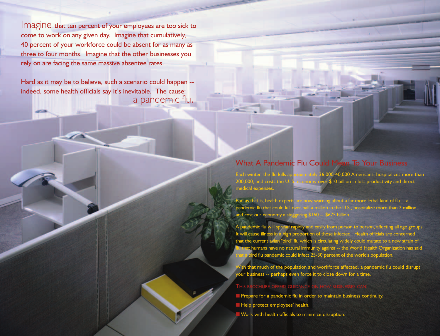Imagine that ten percent of your employees are too sick to come to work on any given day. Imagine that cumulatively, 40 percent of your workforce could be absent for as many as three to four months. Imagine that the other businesses you rely on are facing the same massive absentee rates.

Hard as it may be to believe, such a scenario could happen - indeed, some health officials say it's inevitable. The cause: a pandemic flu.

10000

### What A Pandemic Flu Could Mean To Your Business

Each winter, the flu kills approximately 36,000-40,000 Americans, hospitalizes more than 200,000, and costs the U. S. economy over \$10 billion in lost productivity and direct medical expenses.

Bad as that is, health experts are now warning about a far more lethal kind of flu -- a pandemic flu that could kill over half a million in the U.S., hospitalize more than 2 million, and cost our economy a staggering \$160 – \$675 billion.

lemic flu will spread rapidly and easily from person to person, affecting all age groups. It will cause illness in a high proportion of those infected. Health officials are concerned that the current avian "bird" flu which is circulating widely could mutate to a new strain of it humans have no natural immunity against -- the World Health Organization has said rd flu pandemic could infect 25-30 percent of the world's population.

th that much of the population and workforce affected, a pandemic flu could disrupt your business -- perhaps even force it to close down for a time.

#### THIS BROCHURE OFFERS GUIDANCE ON HOW BUSINESSES CAN:

- Prepare for a pandemic flu in order to maintain business continuity.
- **E** Help protect employees' health.
- Work with health officials to minimize disruption.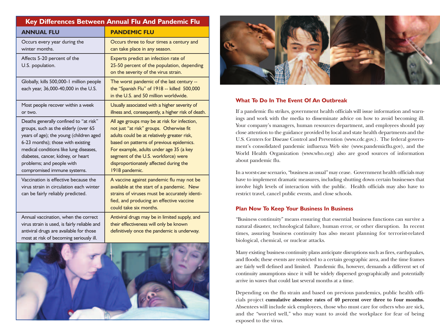| Key Differences Between Annual Flu And Pandemic Flu                                                                                                                                                                                                                                                        |                                                                                                                                                                                                                                                                                                                                   |
|------------------------------------------------------------------------------------------------------------------------------------------------------------------------------------------------------------------------------------------------------------------------------------------------------------|-----------------------------------------------------------------------------------------------------------------------------------------------------------------------------------------------------------------------------------------------------------------------------------------------------------------------------------|
| <b>ANNUAL FLU</b>                                                                                                                                                                                                                                                                                          | <b>PANDEMIC FLU</b>                                                                                                                                                                                                                                                                                                               |
| Occurs every year during the<br>winter months.                                                                                                                                                                                                                                                             | Occurs three to four times a century and<br>can take place in any season.                                                                                                                                                                                                                                                         |
| Affects 5-20 percent of the<br>U.S. population.                                                                                                                                                                                                                                                            | Experts predict an infection rate of<br>25-50 percent of the population, depending<br>on the severity of the virus strain.                                                                                                                                                                                                        |
| Globally, kills 500,000-1 million people<br>each year, 36,000-40,000 in the U.S.                                                                                                                                                                                                                           | The worst pandemic of the last century --<br>the "Spanish Flu" of 1918 -- killed 500,000<br>in the U.S. and 50 million worldwide.                                                                                                                                                                                                 |
| Most people recover within a week<br>or two.                                                                                                                                                                                                                                                               | Usually associated with a higher severity of<br>illness and, consequently, a higher risk of death.                                                                                                                                                                                                                                |
| Deaths generally confined to "at risk"<br>groups, such as the elderly (over 65<br>years of age); the young (children aged<br>6-23 months); those with existing<br>medical conditions like lung diseases,<br>diabetes, cancer, kidney, or heart<br>problems; and people with<br>compromised immune systems. | All age groups may be at risk for infection,<br>not just "at risk" groups. Otherwise fit<br>adults could be at relatively greater risk,<br>based on patterns of previous epidemics.<br>For example, adults under age 35 (a key<br>segment of the U.S. workforce) were<br>disproportionately affected during the<br>1918 pandemic. |
| Vaccination is effective because the<br>virus strain in circulation each winter<br>can be fairly reliably predicted.                                                                                                                                                                                       | A vaccine against pandemic flu may not be<br>available at the start of a pandemic. New<br>strains of viruses must be accurately identi-<br>fied, and producing an effective vaccine<br>could take six months.                                                                                                                     |
| Annual vaccination, when the correct<br>virus strain is used, is fairly reliable and<br>antiviral drugs are available for those<br>most at risk of becoming seriously ill.                                                                                                                                 | Antiviral drugs may be in limited supply, and<br>their effectiveness will only be known<br>definitively once the pandemic is underway.                                                                                                                                                                                            |





#### **What To Do In The Event Of An Outbreak**

If a pandemic flu strikes, government health officials will issue information and warnings and work with the media to disseminate advice on how to avoid becoming ill. Your company's managers, human resources department, and employees should pay close attention to the guidance provided by local and state health departments and the U.S. Centers for Disease Control and Prevention (www.cdc.gov.). The federal government's consolidated pandemic influenza Web site (www.pandemicflu.gov), and the World Health Organization (www.who.org) also are good sources of information about pandemic flu.

In a worst-case scenario, "business as usual" may cease. Government health officials may have to implement dramatic measures, including shutting down certain businesses that involve high levels of interaction with the public. Health officials may also have to restrict travel, cancel public events, and close schools.

#### **Plan Now To Keep Your Business In Business**

"Business continuity" means ensuring that essential business functions can survive a natural disaster, technological failure, human error, or other disruption. In recent times, assuring business continuity has also meant planning for terrorist-related biological, chemical, or nuclear attacks.

Many existing business continuity plans anticipate disruptions such as fires, earthquakes, and floods; these events are restricted to a certain geographic area, and the time frames are fairly well defined and limited. Pandemic flu, however, demands a different set of continuity assumptions since it will be widely dispersed geographically and potentially arrive in waves that could last several months at a time.

Depending on the flu strain and based on previous pandemics, public health officials project **cumulative absentee rates of 40 percent over three to four months.** Absentees will include sick employees, those who must care for others who are sick, and the "worried well," who may want to avoid the workplace for fear of being exposed to the virus.